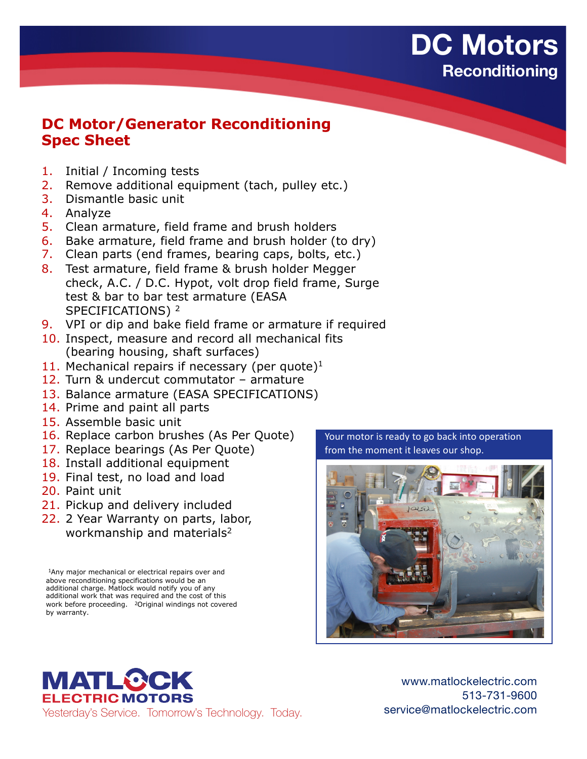## **DC Motors Reconditioning**

## **DC Motor/Generator Reconditioning Spec Sheet**

- 1. Initial / Incoming tests
- 2. Remove additional equipment (tach, pulley etc.)
- 3. Dismantle basic unit
- 4. Analyze
- 5. Clean armature, field frame and brush holders
- 6. Bake armature, field frame and brush holder (to dry)
- 7. Clean parts (end frames, bearing caps, bolts, etc.)
- 8. Test armature, field frame & brush holder Megger check, A.C. / D.C. Hypot, volt drop field frame, Surge test & bar to bar test armature (EASA SPECIFICATIONS)<sup>2</sup>
- 9. VPI or dip and bake field frame or armature if required
- 10. Inspect, measure and record all mechanical fits (bearing housing, shaft surfaces)
- 11. Mechanical repairs if necessary (per quote) $1$
- 12. Turn & undercut commutator armature
- 13. Balance armature (EASA SPECIFICATIONS)
- 14. Prime and paint all parts
- 15. Assemble basic unit
- 16. Replace carbon brushes (As Per Quote)
- 17. Replace bearings (As Per Quote)
- 18. Install additional equipment
- 19. Final test, no load and load
- 20. Paint unit
- 21. Pickup and delivery included
- 22. 2 Year Warranty on parts, labor, workmanship and materials<sup>2</sup>

1Any major mechanical or electrical repairs over and above reconditioning specifications would be an additional charge. Matlock would notify you of any additional work that was required and the cost of this work before proceeding. 2Original windings not covered by warranty.

Your motor is ready to go back into operation from the moment it leaves our shop.



**MATL®CK ELECTRIC MOTORS** Yesterday's Service. Tomorrow's Technology. Today.

www.matlockelectric.com 513-731-9600 service@matlockelectric.com